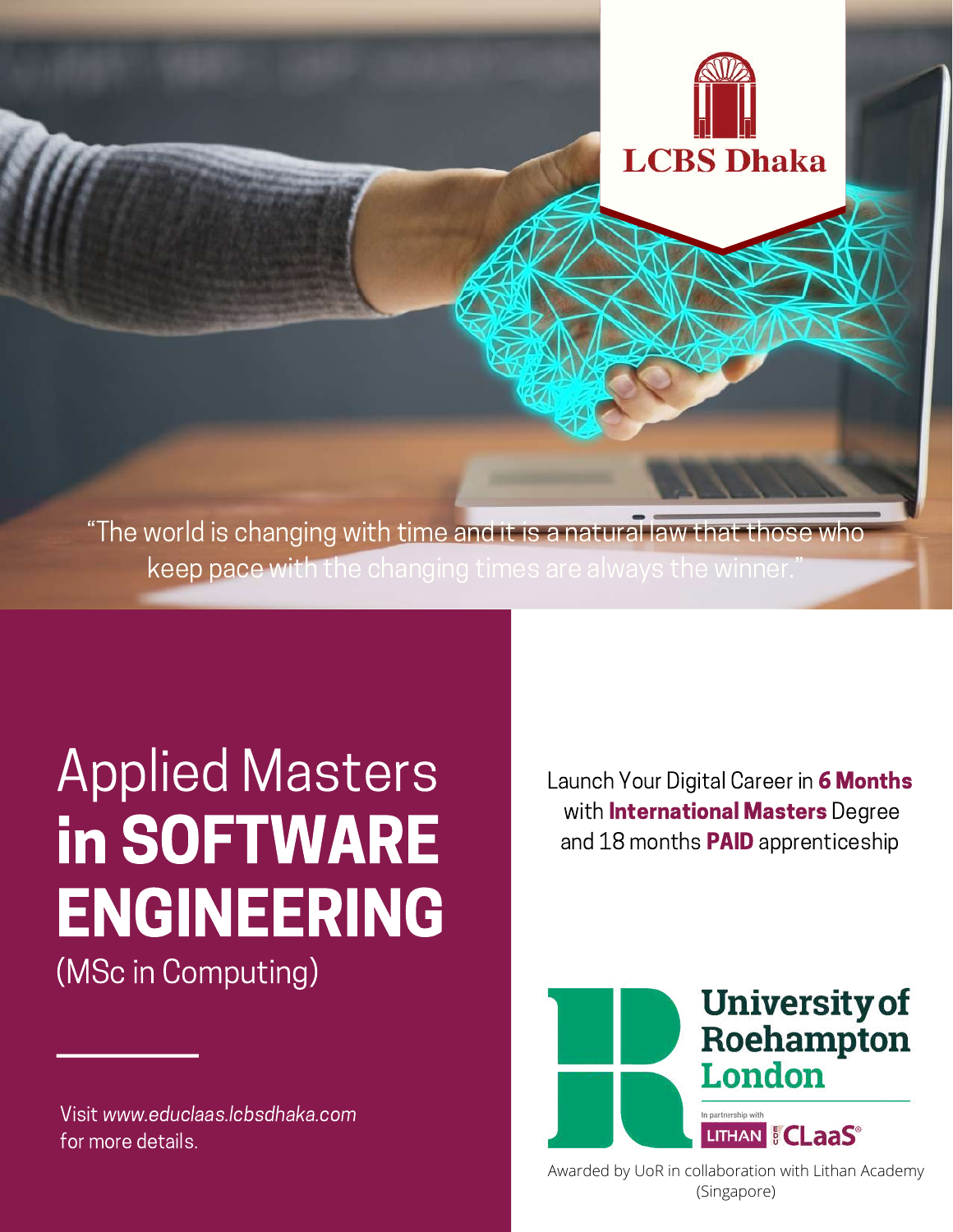"The world is changing with time and it is a natural law that those who keep pace with the changing times are always the winner.

# Applied Masters in SOFTWARE ENGINEERING (MSc in Computing)

Visit www.educlaas.lcbsdhaka.com for more details.

Launch Your Digital Career in 6 Months with **International Masters** Degree and 18 months **PAID** apprenticeship

**LCBS** Dhaka



 $\mathcal{L}(\mathbf{A})$ Awarded by UoR in collaboration with Lithan Academy (Singapore)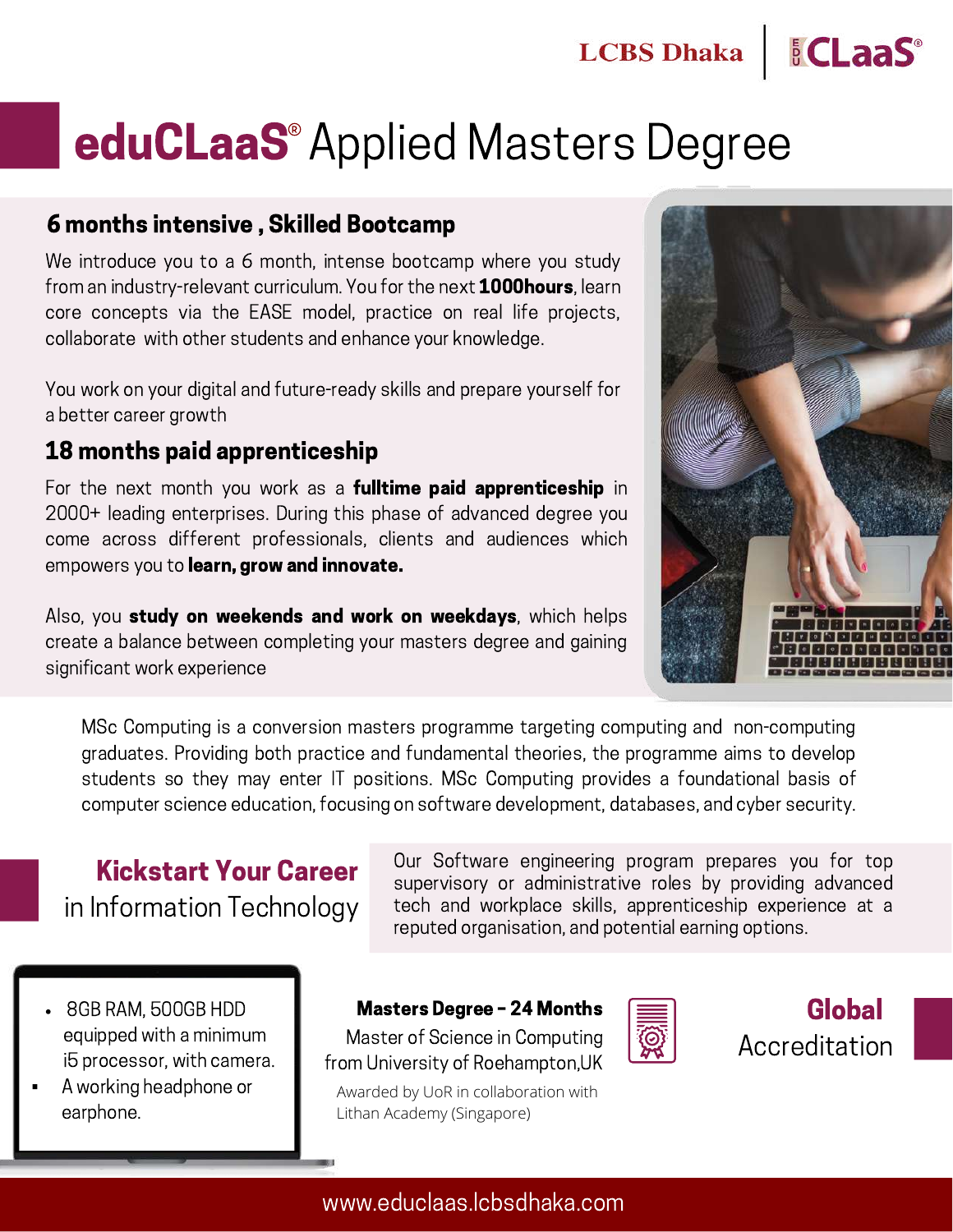# eduCLaaS<sup>®</sup> Applied Masters Degree

#### 6 months intensive , Skilled Bootcamp

We introduce you to a 6 month, intense bootcamp where you study from an industry-relevant curriculum. You for the next **1000hours**, learn core concepts via the EASE model, practice on real life projects, collaborate with other students and enhance your knowledge.

You work on your digital and future-ready skills and prepare yourself for a better career growth

#### 18 months paid apprenticeship

For the next month you work as a **fulltime paid apprenticeship** in 2000+ leading enterprises. During this phase of advanced degree you come across different professionals, clients and audiences which empowers you to learn, grow and innovate.

Also, you **study on weekends and work on weekdays**, which helps create a balance between completing your masters degree and gaining significant work experience



*ECLaaS* 

MSc Computing is a conversion masters programme targeting computing and non-computing graduates. Providing both practice and fundamental theories, the programme aims to develop students so they may enter IT positions. MSc Computing provides a foundational basis of computer science education, focusing on software development, databases, and cyber security.

## Kickstart Your Career in Information Technology

Our Software engineering program prepares you for top supervisory or administrative roles by providing advanced tech and workplace skills, apprenticeship experience at a reputed organisation, and potential earning options.

- 8GB RAM, 500GB HDD equipped with a minimum i5 processor, with camera.
- A working headphone or earphone.

Masters Degree – 24 Months

Master of Science in Computing from University of Roehampton,UK

Awarded by UoR in collaboration with Lithan Academy (Singapore)



Global Accreditation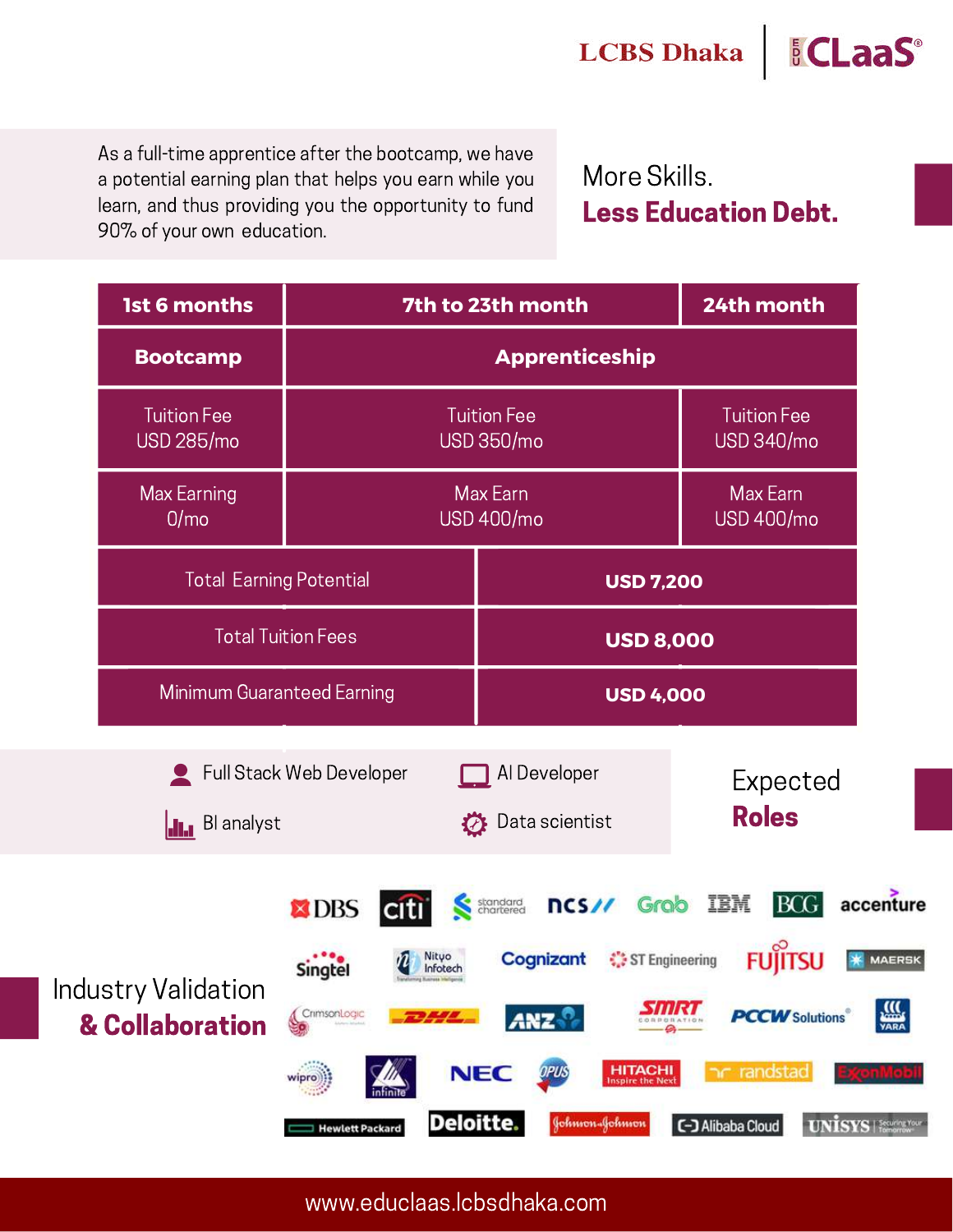As a full-time apprentice after the bootcamp, we have a potential earning plan that helps you earn while you learn, and thus providing you the opportunity to fund 90% of your own education.

More Skills. Less Education Debt.

*<u>ECLaaS*</u>

| <b>1st 6 months</b>                           | 7th to 23th month                                                                                                            |                                                                                                                                                                            | 24th month                                                                  |                                                                     |
|-----------------------------------------------|------------------------------------------------------------------------------------------------------------------------------|----------------------------------------------------------------------------------------------------------------------------------------------------------------------------|-----------------------------------------------------------------------------|---------------------------------------------------------------------|
| <b>Bootcamp</b>                               | <b>Apprenticeship</b>                                                                                                        |                                                                                                                                                                            |                                                                             |                                                                     |
| <b>Tuition Fee</b><br><b>USD 285/mo</b>       | <b>Tuition Fee</b><br><b>USD 350/mo</b>                                                                                      |                                                                                                                                                                            | <b>Tuition Fee</b><br><b>USD 340/mo</b>                                     |                                                                     |
| Max Earning<br>0/m <sub>o</sub>               | Max Earn<br><b>USD 400/mo</b>                                                                                                |                                                                                                                                                                            | Max Earn<br><b>USD 400/mo</b>                                               |                                                                     |
| <b>Total Earning Potential</b>                |                                                                                                                              | <b>USD 7,200</b>                                                                                                                                                           |                                                                             |                                                                     |
| <b>Total Tuition Fees</b>                     |                                                                                                                              | <b>USD 8,000</b>                                                                                                                                                           |                                                                             |                                                                     |
| Minimum Guaranteed Earning                    |                                                                                                                              | <b>USD 4,000</b>                                                                                                                                                           |                                                                             |                                                                     |
| <b>II.</b> Blanalyst                          | Full Stack Web Developer<br>$\boldsymbol{\mathcal{D}}$                                                                       | Al Developer<br>Data scientist                                                                                                                                             | Expected<br><b>Roles</b>                                                    |                                                                     |
| <b>Industry Validation</b><br>& Collaboration | <b>X</b> DBS<br>Nityo<br>Infotech<br><b>Singtel</b><br>CrimsonLogic<br>wipro))<br><b>Deloitte.</b><br><b>Hewlett Packard</b> | ncs// Grob IBM<br>standard<br>chartered<br>Cognizant<br>ST Engineering<br><b>ANZ</b><br><b>NEC</b><br><b>HITACHI</b><br>OPUS<br><b>Inspire the Next</b><br>Johnson-Johnson | <b>BCG</b><br>FUI<br><b>PCCW</b> Solutions<br>randstad<br>C-J Alibaba Cloud | accenture<br><b>MAERSK</b><br>VARA<br><b>UNISYS</b>   Security Your |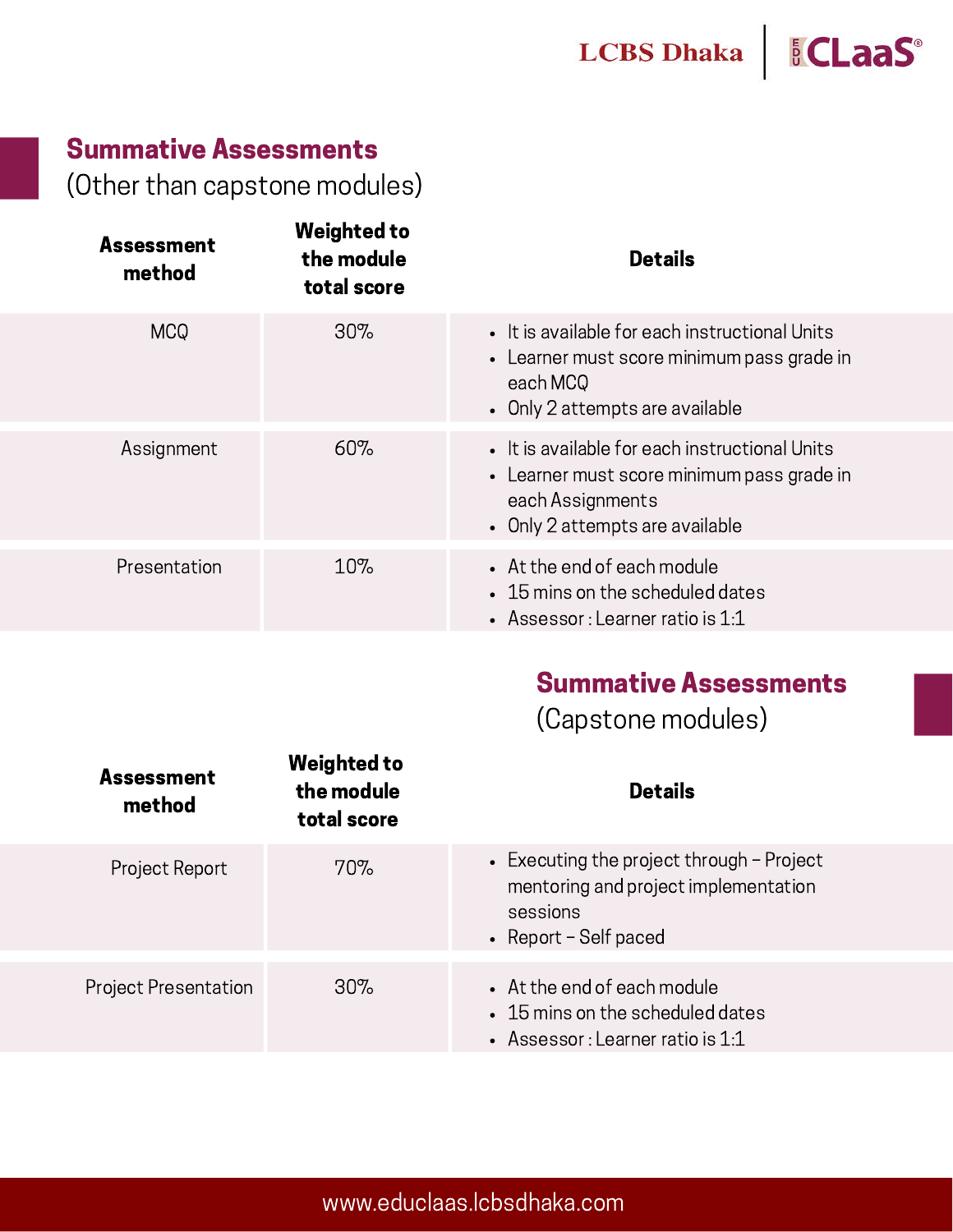

## Summative Assessments

(Other than capstone modules)

| <b>Weighted to</b><br>the module<br>total score | <b>Details</b>                                                                                                                                      |
|-------------------------------------------------|-----------------------------------------------------------------------------------------------------------------------------------------------------|
| 30%                                             | • It is available for each instructional Units<br>• Learner must score minimum pass grade in<br>each MCQ<br>• Only 2 attempts are available         |
| 60%                                             | • It is available for each instructional Units<br>• Learner must score minimum pass grade in<br>each Assignments<br>• Only 2 attempts are available |
| 10%                                             | • At the end of each module<br>• 15 mins on the scheduled dates<br>• Assessor : Learner ratio is $1:1$                                              |
|                                                 |                                                                                                                                                     |

## Summative Assessments

(Capstone modules)

| <b>Assessment</b><br>method | <b>Weighted to</b><br>the module<br>total score | <b>Details</b>                                                                                                           |
|-----------------------------|-------------------------------------------------|--------------------------------------------------------------------------------------------------------------------------|
| Project Report              | 70%                                             | • Executing the project through $-$ Project<br>mentoring and project implementation<br>sessions<br>• Report - Self paced |
| <b>Project Presentation</b> | $30\%$                                          | • At the end of each module<br>• 15 mins on the scheduled dates<br>• Assessor : Learner ratio is $1:1$                   |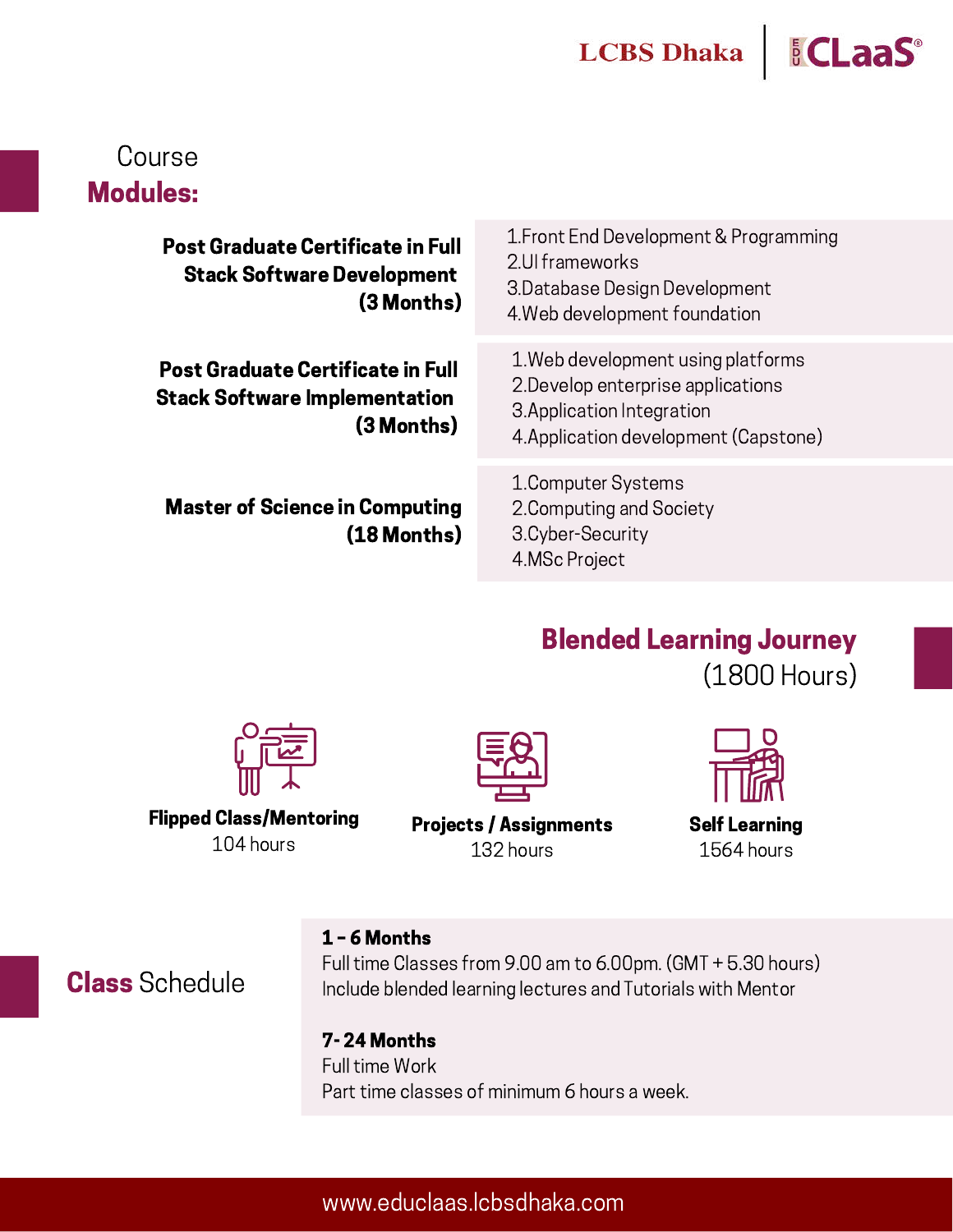## *<u>ECLaaS</u>*

## Course Modules:

**Post Graduate Certificate in I Stack Software Developme** (3 Mont

**Post Graduate Certificate in F Stack Software Implementation** (3 Month

Master of Science in Computing (18 Months)

| Full<br>ent<br>hs) | 1. Front End Development & Programming<br>2. Ul frameworks<br>3. Database Design Development<br>4. Web development foundation                   |
|--------------------|-------------------------------------------------------------------------------------------------------------------------------------------------|
| iull<br>on<br>hs)  | 1. Web development using platforms<br>2. Develop enterprise applications<br>3. Application Integration<br>4. Application development (Capstone) |
| ing                | 1. Computer Systems<br>2. Computing and Society                                                                                                 |

## Blended Learning Journey (1800 Hours)

Flipped Class/Mentoring 104 hours



Projects / Assignments 132 hours



Self Learning 1564 hours

#### 1 – 6 Months

Full time Classes from 9.00 am to 6.00pm. (GMT + 5.30 hours) Include blended learning lectures and Tutorials with Mentor

3.Cyber-Security 4.MSc Project

7- 24 Months Full time Work Part time classes of minimum 6 hours a week.

## Class Schedule

#### www.educlaas.lcbsdhaka.com